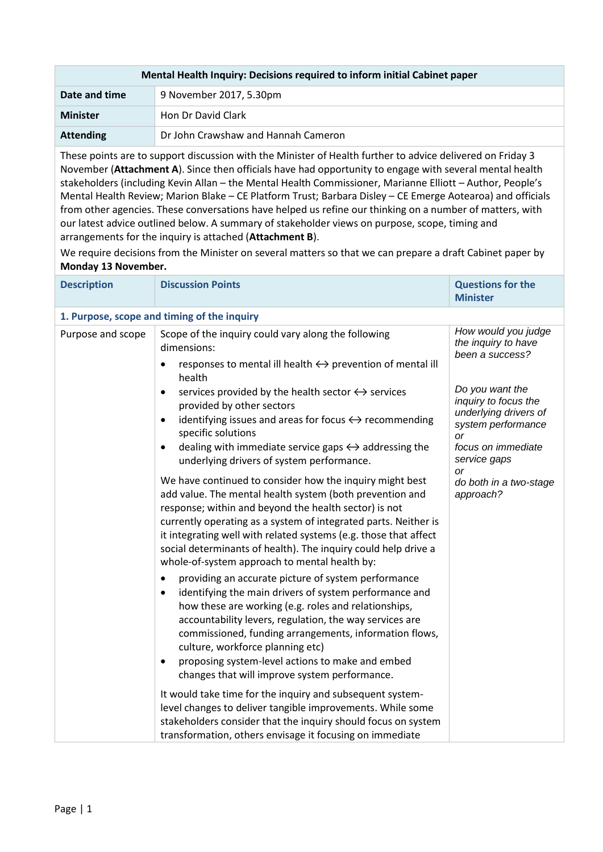| Mental Health Inquiry: Decisions required to inform initial Cabinet paper |                                     |  |  |
|---------------------------------------------------------------------------|-------------------------------------|--|--|
| Date and time                                                             | 9 November 2017, 5.30pm             |  |  |
| <b>Minister</b>                                                           | Hon Dr David Clark                  |  |  |
| <b>Attending</b>                                                          | Dr John Crawshaw and Hannah Cameron |  |  |

These points are to support discussion with the Minister of Health further to advice delivered on Friday 3 November (**Attachment A**). Since then officials have had opportunity to engage with several mental health stakeholders (including Kevin Allan – the Mental Health Commissioner, Marianne Elliott – Author, People's Mental Health Review; Marion Blake – CE Platform Trust; Barbara Disley – CE Emerge Aotearoa) and officials from other agencies. These conversations have helped us refine our thinking on a number of matters, with our latest advice outlined below. A summary of stakeholder views on purpose, scope, timing and arrangements for the inquiry is attached (**Attachment B**).

We require decisions from the Minister on several matters so that we can prepare a draft Cabinet paper by **Monday 13 November.**

| <b>Description</b> | <b>Discussion Points</b>                                                                                                                                                                                                                                                                                                                                                                                                                                                   | <b>Questions for the</b><br><b>Minister</b>                                                                                              |
|--------------------|----------------------------------------------------------------------------------------------------------------------------------------------------------------------------------------------------------------------------------------------------------------------------------------------------------------------------------------------------------------------------------------------------------------------------------------------------------------------------|------------------------------------------------------------------------------------------------------------------------------------------|
|                    | 1. Purpose, scope and timing of the inquiry                                                                                                                                                                                                                                                                                                                                                                                                                                |                                                                                                                                          |
| Purpose and scope  | Scope of the inquiry could vary along the following<br>dimensions:<br>responses to mental ill health $\leftrightarrow$ prevention of mental ill<br>health                                                                                                                                                                                                                                                                                                                  | How would you judge<br>the inquiry to have<br>been a success?                                                                            |
|                    | services provided by the health sector $\leftrightarrow$ services<br>provided by other sectors<br>identifying issues and areas for focus $\leftrightarrow$ recommending<br>$\bullet$<br>specific solutions<br>dealing with immediate service gaps $\leftrightarrow$ addressing the<br>$\bullet$<br>underlying drivers of system performance.                                                                                                                               | Do you want the<br>inquiry to focus the<br>underlying drivers of<br>system performance<br>or<br>focus on immediate<br>service gaps<br>or |
|                    | We have continued to consider how the inquiry might best<br>add value. The mental health system (both prevention and<br>response; within and beyond the health sector) is not<br>currently operating as a system of integrated parts. Neither is<br>it integrating well with related systems (e.g. those that affect<br>social determinants of health). The inquiry could help drive a<br>whole-of-system approach to mental health by:                                    | do both in a two-stage<br>approach?                                                                                                      |
|                    | providing an accurate picture of system performance<br>$\bullet$<br>identifying the main drivers of system performance and<br>$\bullet$<br>how these are working (e.g. roles and relationships,<br>accountability levers, regulation, the way services are<br>commissioned, funding arrangements, information flows,<br>culture, workforce planning etc)<br>proposing system-level actions to make and embed<br>$\bullet$<br>changes that will improve system performance. |                                                                                                                                          |
|                    | It would take time for the inquiry and subsequent system-<br>level changes to deliver tangible improvements. While some<br>stakeholders consider that the inquiry should focus on system<br>transformation, others envisage it focusing on immediate                                                                                                                                                                                                                       |                                                                                                                                          |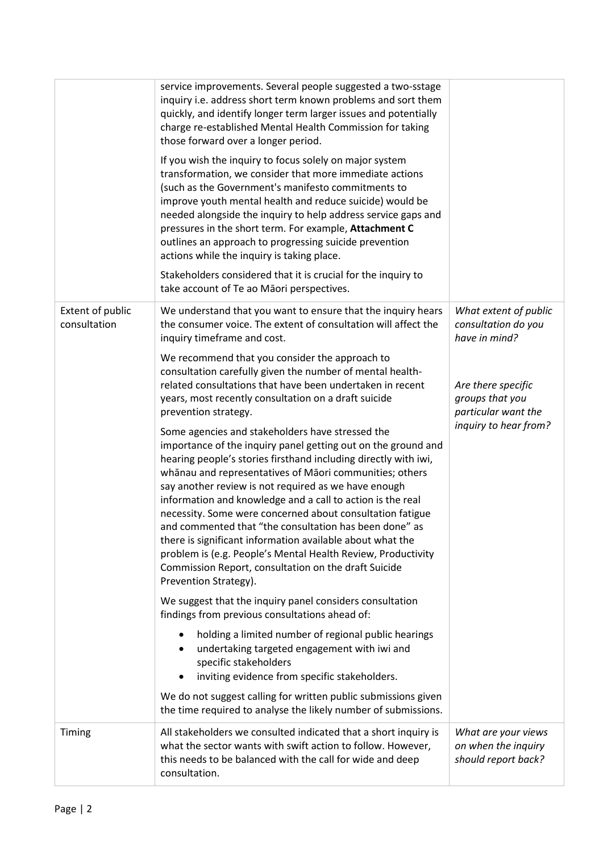|                                  | service improvements. Several people suggested a two-sstage<br>inquiry i.e. address short term known problems and sort them<br>quickly, and identify longer term larger issues and potentially<br>charge re-established Mental Health Commission for taking<br>those forward over a longer period.                                                                                                                                                                                                                                                                                                                                                                                                         |                                                                   |
|----------------------------------|------------------------------------------------------------------------------------------------------------------------------------------------------------------------------------------------------------------------------------------------------------------------------------------------------------------------------------------------------------------------------------------------------------------------------------------------------------------------------------------------------------------------------------------------------------------------------------------------------------------------------------------------------------------------------------------------------------|-------------------------------------------------------------------|
|                                  | If you wish the inquiry to focus solely on major system<br>transformation, we consider that more immediate actions<br>(such as the Government's manifesto commitments to<br>improve youth mental health and reduce suicide) would be<br>needed alongside the inquiry to help address service gaps and<br>pressures in the short term. For example, Attachment C<br>outlines an approach to progressing suicide prevention<br>actions while the inquiry is taking place.                                                                                                                                                                                                                                    |                                                                   |
|                                  | Stakeholders considered that it is crucial for the inquiry to<br>take account of Te ao Māori perspectives.                                                                                                                                                                                                                                                                                                                                                                                                                                                                                                                                                                                                 |                                                                   |
| Extent of public<br>consultation | We understand that you want to ensure that the inquiry hears<br>the consumer voice. The extent of consultation will affect the<br>inquiry timeframe and cost.                                                                                                                                                                                                                                                                                                                                                                                                                                                                                                                                              | What extent of public<br>consultation do you<br>have in mind?     |
|                                  | We recommend that you consider the approach to<br>consultation carefully given the number of mental health-<br>related consultations that have been undertaken in recent<br>years, most recently consultation on a draft suicide<br>prevention strategy.                                                                                                                                                                                                                                                                                                                                                                                                                                                   | Are there specific<br>groups that you<br>particular want the      |
|                                  | Some agencies and stakeholders have stressed the<br>importance of the inquiry panel getting out on the ground and<br>hearing people's stories firsthand including directly with iwi,<br>whānau and representatives of Māori communities; others<br>say another review is not required as we have enough<br>information and knowledge and a call to action is the real<br>necessity. Some were concerned about consultation fatigue<br>and commented that "the consultation has been done" as<br>there is significant information available about what the<br>problem is (e.g. People's Mental Health Review, Productivity<br>Commission Report, consultation on the draft Suicide<br>Prevention Strategy). | inquiry to hear from?                                             |
|                                  | We suggest that the inquiry panel considers consultation<br>findings from previous consultations ahead of:                                                                                                                                                                                                                                                                                                                                                                                                                                                                                                                                                                                                 |                                                                   |
|                                  | holding a limited number of regional public hearings<br>undertaking targeted engagement with iwi and<br>specific stakeholders<br>inviting evidence from specific stakeholders.                                                                                                                                                                                                                                                                                                                                                                                                                                                                                                                             |                                                                   |
|                                  | We do not suggest calling for written public submissions given<br>the time required to analyse the likely number of submissions.                                                                                                                                                                                                                                                                                                                                                                                                                                                                                                                                                                           |                                                                   |
| Timing                           | All stakeholders we consulted indicated that a short inquiry is<br>what the sector wants with swift action to follow. However,<br>this needs to be balanced with the call for wide and deep<br>consultation.                                                                                                                                                                                                                                                                                                                                                                                                                                                                                               | What are your views<br>on when the inquiry<br>should report back? |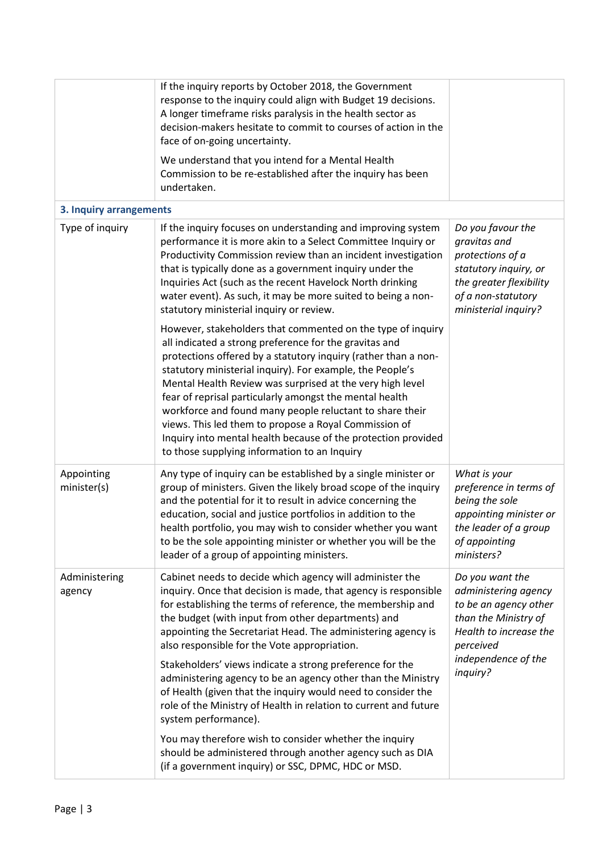|                           | If the inquiry reports by October 2018, the Government<br>response to the inquiry could align with Budget 19 decisions.<br>A longer timeframe risks paralysis in the health sector as<br>decision-makers hesitate to commit to courses of action in the<br>face of on-going uncertainty.<br>We understand that you intend for a Mental Health<br>Commission to be re-established after the inquiry has been                                                                                                                                                                                                                                                                                                                                                                     |                                                                                                                                                                    |
|---------------------------|---------------------------------------------------------------------------------------------------------------------------------------------------------------------------------------------------------------------------------------------------------------------------------------------------------------------------------------------------------------------------------------------------------------------------------------------------------------------------------------------------------------------------------------------------------------------------------------------------------------------------------------------------------------------------------------------------------------------------------------------------------------------------------|--------------------------------------------------------------------------------------------------------------------------------------------------------------------|
|                           | undertaken.                                                                                                                                                                                                                                                                                                                                                                                                                                                                                                                                                                                                                                                                                                                                                                     |                                                                                                                                                                    |
| 3. Inquiry arrangements   |                                                                                                                                                                                                                                                                                                                                                                                                                                                                                                                                                                                                                                                                                                                                                                                 |                                                                                                                                                                    |
| Type of inquiry           | If the inquiry focuses on understanding and improving system<br>performance it is more akin to a Select Committee Inquiry or<br>Productivity Commission review than an incident investigation<br>that is typically done as a government inquiry under the<br>Inquiries Act (such as the recent Havelock North drinking<br>water event). As such, it may be more suited to being a non-<br>statutory ministerial inquiry or review.                                                                                                                                                                                                                                                                                                                                              | Do you favour the<br>gravitas and<br>protections of a<br>statutory inquiry, or<br>the greater flexibility<br>of a non-statutory<br>ministerial inquiry?            |
|                           | However, stakeholders that commented on the type of inquiry<br>all indicated a strong preference for the gravitas and<br>protections offered by a statutory inquiry (rather than a non-<br>statutory ministerial inquiry). For example, the People's<br>Mental Health Review was surprised at the very high level<br>fear of reprisal particularly amongst the mental health<br>workforce and found many people reluctant to share their<br>views. This led them to propose a Royal Commission of<br>Inquiry into mental health because of the protection provided<br>to those supplying information to an Inquiry                                                                                                                                                              |                                                                                                                                                                    |
| Appointing<br>minister(s) | Any type of inquiry can be established by a single minister or<br>group of ministers. Given the likely broad scope of the inquiry<br>and the potential for it to result in advice concerning the<br>education, social and justice portfolios in addition to the<br>health portfolio, you may wish to consider whether you want<br>to be the sole appointing minister or whether you will be the<br>leader of a group of appointing ministers.                                                                                                                                                                                                                                                                                                                                   | What is your<br>preference in terms of<br>being the sole<br>appointing minister or<br>the leader of a group<br>of appointing<br>ministers?                         |
| Administering<br>agency   | Cabinet needs to decide which agency will administer the<br>inquiry. Once that decision is made, that agency is responsible<br>for establishing the terms of reference, the membership and<br>the budget (with input from other departments) and<br>appointing the Secretariat Head. The administering agency is<br>also responsible for the Vote appropriation.<br>Stakeholders' views indicate a strong preference for the<br>administering agency to be an agency other than the Ministry<br>of Health (given that the inquiry would need to consider the<br>role of the Ministry of Health in relation to current and future<br>system performance).<br>You may therefore wish to consider whether the inquiry<br>should be administered through another agency such as DIA | Do you want the<br>administering agency<br>to be an agency other<br>than the Ministry of<br>Health to increase the<br>perceived<br>independence of the<br>inquiry? |
|                           | (if a government inquiry) or SSC, DPMC, HDC or MSD.                                                                                                                                                                                                                                                                                                                                                                                                                                                                                                                                                                                                                                                                                                                             |                                                                                                                                                                    |